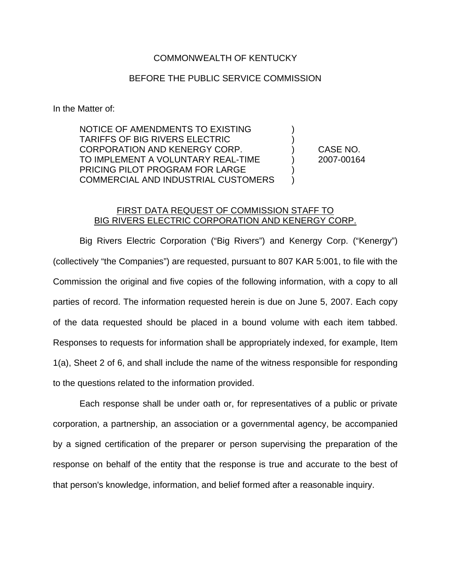## COMMONWEALTH OF KENTUCKY

## BEFORE THE PUBLIC SERVICE COMMISSION

In the Matter of:

NOTICE OF AMENDMENTS TO EXISTING ) TARIFFS OF BIG RIVERS ELECTRIC ) CORPORATION AND KENERGY CORP. ) CASE NO. TO IMPLEMENT A VOLUNTARY REAL-TIME ) 2007-00164 PRICING PILOT PROGRAM FOR LARGE COMMERCIAL AND INDUSTRIAL CUSTOMERS )

## FIRST DATA REQUEST OF COMMISSION STAFF TO BIG RIVERS ELECTRIC CORPORATION AND KENERGY CORP.

Big Rivers Electric Corporation ("Big Rivers") and Kenergy Corp. ("Kenergy") (collectively "the Companies") are requested, pursuant to 807 KAR 5:001, to file with the Commission the original and five copies of the following information, with a copy to all parties of record. The information requested herein is due on June 5, 2007. Each copy of the data requested should be placed in a bound volume with each item tabbed. Responses to requests for information shall be appropriately indexed, for example, Item 1(a), Sheet 2 of 6, and shall include the name of the witness responsible for responding to the questions related to the information provided.

Each response shall be under oath or, for representatives of a public or private corporation, a partnership, an association or a governmental agency, be accompanied by a signed certification of the preparer or person supervising the preparation of the response on behalf of the entity that the response is true and accurate to the best of that person's knowledge, information, and belief formed after a reasonable inquiry.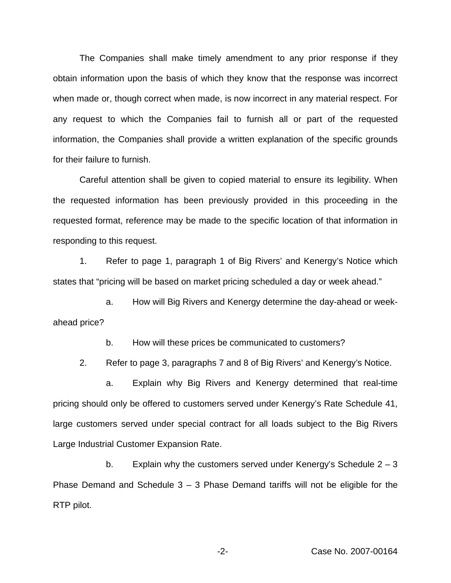The Companies shall make timely amendment to any prior response if they obtain information upon the basis of which they know that the response was incorrect when made or, though correct when made, is now incorrect in any material respect. For any request to which the Companies fail to furnish all or part of the requested information, the Companies shall provide a written explanation of the specific grounds for their failure to furnish.

Careful attention shall be given to copied material to ensure its legibility. When the requested information has been previously provided in this proceeding in the requested format, reference may be made to the specific location of that information in responding to this request.

1. Refer to page 1, paragraph 1 of Big Rivers' and Kenergy's Notice which states that "pricing will be based on market pricing scheduled a day or week ahead."

a. How will Big Rivers and Kenergy determine the day-ahead or weekahead price?

b. How will these prices be communicated to customers?

2. Refer to page 3, paragraphs 7 and 8 of Big Rivers' and Kenergy's Notice.

a. Explain why Big Rivers and Kenergy determined that real-time pricing should only be offered to customers served under Kenergy's Rate Schedule 41, large customers served under special contract for all loads subject to the Big Rivers Large Industrial Customer Expansion Rate.

b. Explain why the customers served under Kenergy's Schedule  $2 - 3$ Phase Demand and Schedule  $3 - 3$  Phase Demand tariffs will not be eligible for the RTP pilot.

-2- Case No. 2007-00164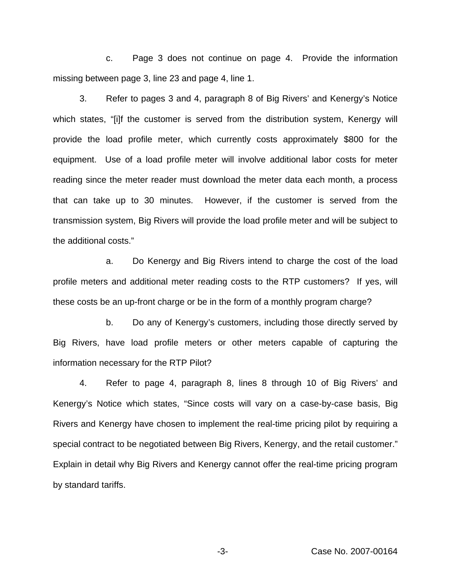c. Page 3 does not continue on page 4. Provide the information missing between page 3, line 23 and page 4, line 1.

3. Refer to pages 3 and 4, paragraph 8 of Big Rivers' and Kenergy's Notice which states, "[i]f the customer is served from the distribution system, Kenergy will provide the load profile meter, which currently costs approximately \$800 for the equipment. Use of a load profile meter will involve additional labor costs for meter reading since the meter reader must download the meter data each month, a process that can take up to 30 minutes. However, if the customer is served from the transmission system, Big Rivers will provide the load profile meter and will be subject to the additional costs."

a. Do Kenergy and Big Rivers intend to charge the cost of the load profile meters and additional meter reading costs to the RTP customers? If yes, will these costs be an up-front charge or be in the form of a monthly program charge?

b. Do any of Kenergy's customers, including those directly served by Big Rivers, have load profile meters or other meters capable of capturing the information necessary for the RTP Pilot?

4. Refer to page 4, paragraph 8, lines 8 through 10 of Big Rivers' and Kenergy's Notice which states, "Since costs will vary on a case-by-case basis, Big Rivers and Kenergy have chosen to implement the real-time pricing pilot by requiring a special contract to be negotiated between Big Rivers, Kenergy, and the retail customer." Explain in detail why Big Rivers and Kenergy cannot offer the real-time pricing program by standard tariffs.

-3- Case No. 2007-00164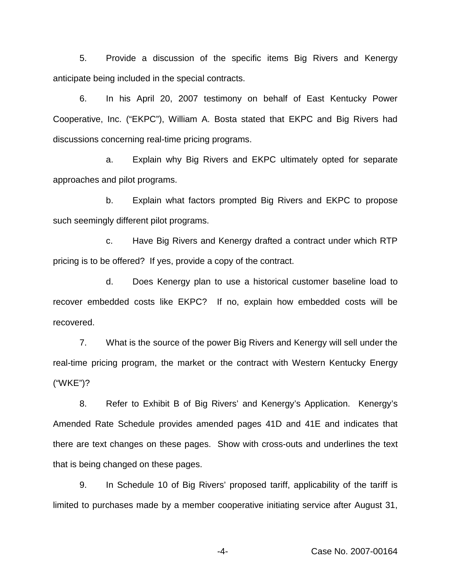5. Provide a discussion of the specific items Big Rivers and Kenergy anticipate being included in the special contracts.

6. In his April 20, 2007 testimony on behalf of East Kentucky Power Cooperative, Inc. ("EKPC"), William A. Bosta stated that EKPC and Big Rivers had discussions concerning real-time pricing programs.

a. Explain why Big Rivers and EKPC ultimately opted for separate approaches and pilot programs.

b. Explain what factors prompted Big Rivers and EKPC to propose such seemingly different pilot programs.

c. Have Big Rivers and Kenergy drafted a contract under which RTP pricing is to be offered? If yes, provide a copy of the contract.

d. Does Kenergy plan to use a historical customer baseline load to recover embedded costs like EKPC? If no, explain how embedded costs will be recovered.

7. What is the source of the power Big Rivers and Kenergy will sell under the real-time pricing program, the market or the contract with Western Kentucky Energy ("WKE")?

8. Refer to Exhibit B of Big Rivers' and Kenergy's Application. Kenergy's Amended Rate Schedule provides amended pages 41D and 41E and indicates that there are text changes on these pages. Show with cross-outs and underlines the text that is being changed on these pages.

9. In Schedule 10 of Big Rivers' proposed tariff, applicability of the tariff is limited to purchases made by a member cooperative initiating service after August 31,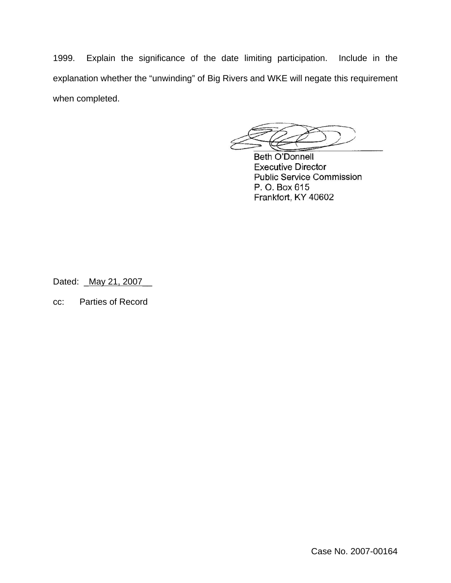1999. Explain the significance of the date limiting participation. Include in the explanation whether the "unwinding" of Big Rivers and WKE will negate this requirement when completed.

**Beth O'Donnell Executive Director Public Service Commission** P. O. Box 615 Frankfort, KY 40602

Dated: \_ May 21, 2007

cc: Parties of Record